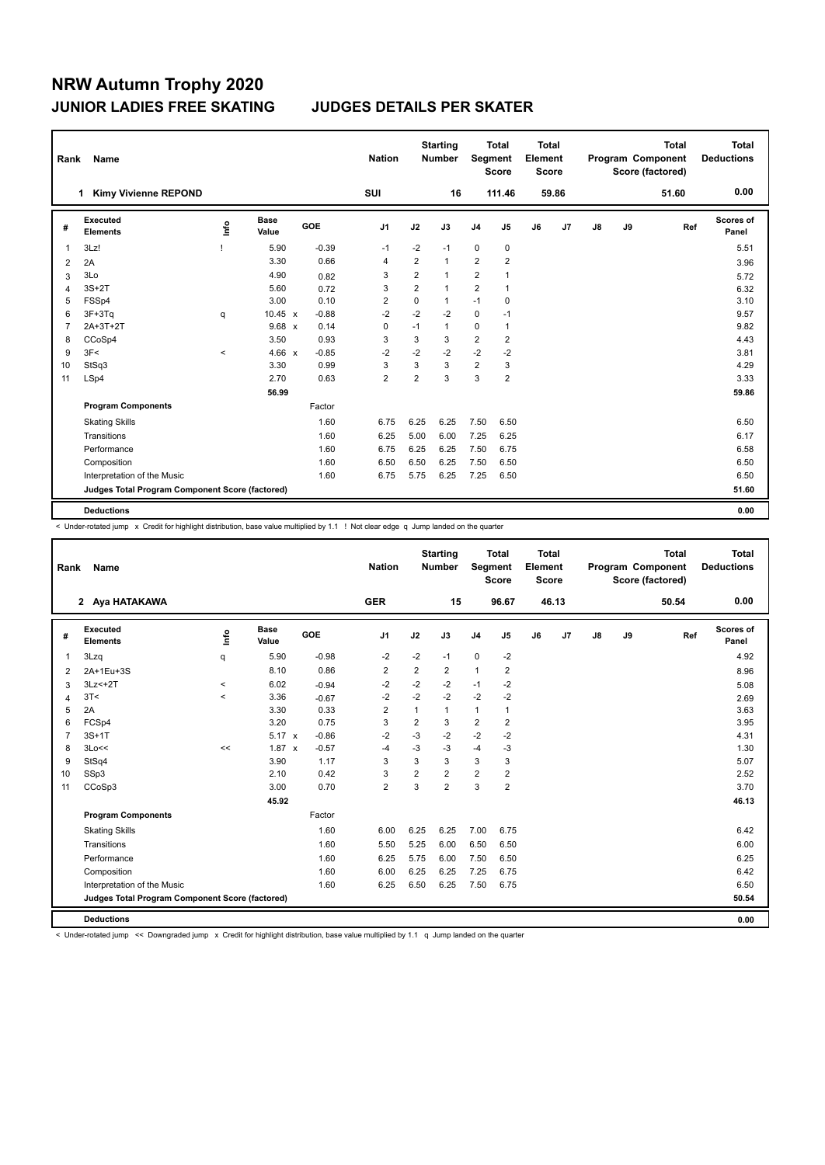| Rank | Name                                            |                          |                      |            | <b>Nation</b>  |                | <b>Starting</b><br><b>Number</b> |                | <b>Total</b><br>Segment<br><b>Score</b> | <b>Total</b><br>Element<br><b>Score</b> |       |    |    | <b>Total</b><br>Program Component<br>Score (factored) | Total<br><b>Deductions</b> |
|------|-------------------------------------------------|--------------------------|----------------------|------------|----------------|----------------|----------------------------------|----------------|-----------------------------------------|-----------------------------------------|-------|----|----|-------------------------------------------------------|----------------------------|
|      | <b>Kimy Vivienne REPOND</b><br>1                |                          |                      |            | <b>SUI</b>     |                | 16                               |                | 111.46                                  |                                         | 59.86 |    |    | 51.60                                                 | 0.00                       |
| #    | <b>Executed</b><br><b>Elements</b>              | lnfo                     | <b>Base</b><br>Value | <b>GOE</b> | J <sub>1</sub> | J2             | J3                               | J <sub>4</sub> | J <sub>5</sub>                          | J6                                      | J7    | J8 | J9 | Ref                                                   | Scores of<br>Panel         |
|      | 3Lz!                                            |                          | 5.90                 | $-0.39$    | $-1$           | $-2$           | $-1$                             | $\mathbf 0$    | $\mathbf 0$                             |                                         |       |    |    |                                                       | 5.51                       |
| 2    | 2A                                              |                          | 3.30                 | 0.66       | $\overline{4}$ | $\overline{2}$ | $\mathbf{1}$                     | 2              | $\overline{2}$                          |                                         |       |    |    |                                                       | 3.96                       |
| 3    | 3Lo                                             |                          | 4.90                 | 0.82       | 3              | 2              | $\mathbf{1}$                     | $\overline{2}$ | 1                                       |                                         |       |    |    |                                                       | 5.72                       |
| Δ    | $3S+2T$                                         |                          | 5.60                 | 0.72       | 3              | $\overline{2}$ | $\mathbf{1}$                     | 2              | 1                                       |                                         |       |    |    |                                                       | 6.32                       |
| 5    | FSSp4                                           |                          | 3.00                 | 0.10       | 2              | $\mathbf 0$    | $\mathbf{1}$                     | $-1$           | 0                                       |                                         |       |    |    |                                                       | 3.10                       |
| 6    | $3F+3Tq$                                        | q                        | $10.45 \times$       | $-0.88$    | $-2$           | $-2$           | $-2$                             | $\mathbf 0$    | $-1$                                    |                                         |       |    |    |                                                       | 9.57                       |
|      | 2A+3T+2T                                        |                          | $9.68 \times$        | 0.14       | 0              | $-1$           | $\mathbf{1}$                     | $\mathbf 0$    | 1                                       |                                         |       |    |    |                                                       | 9.82                       |
| 8    | CCoSp4                                          |                          | 3.50                 | 0.93       | 3              | 3              | 3                                | $\sqrt{2}$     | $\overline{2}$                          |                                         |       |    |    |                                                       | 4.43                       |
| 9    | 3F<                                             | $\overline{\phantom{0}}$ | 4.66 $x$             | $-0.85$    | $-2$           | $-2$           | $-2$                             | $-2$           | $-2$                                    |                                         |       |    |    |                                                       | 3.81                       |
| 10   | StSq3                                           |                          | 3.30                 | 0.99       | 3              | 3              | 3                                | $\overline{2}$ | 3                                       |                                         |       |    |    |                                                       | 4.29                       |
| 11   | LSp4                                            |                          | 2.70                 | 0.63       | $\overline{2}$ | $\overline{2}$ | 3                                | 3              | $\overline{2}$                          |                                         |       |    |    |                                                       | 3.33                       |
|      |                                                 |                          | 56.99                |            |                |                |                                  |                |                                         |                                         |       |    |    |                                                       | 59.86                      |
|      | <b>Program Components</b>                       |                          |                      | Factor     |                |                |                                  |                |                                         |                                         |       |    |    |                                                       |                            |
|      | <b>Skating Skills</b>                           |                          |                      | 1.60       | 6.75           | 6.25           | 6.25                             | 7.50           | 6.50                                    |                                         |       |    |    |                                                       | 6.50                       |
|      | Transitions                                     |                          |                      | 1.60       | 6.25           | 5.00           | 6.00                             | 7.25           | 6.25                                    |                                         |       |    |    |                                                       | 6.17                       |
|      | Performance                                     |                          |                      | 1.60       | 6.75           | 6.25           | 6.25                             | 7.50           | 6.75                                    |                                         |       |    |    |                                                       | 6.58                       |
|      | Composition                                     |                          |                      | 1.60       | 6.50           | 6.50           | 6.25                             | 7.50           | 6.50                                    |                                         |       |    |    |                                                       | 6.50                       |
|      | Interpretation of the Music                     |                          |                      | 1.60       | 6.75           | 5.75           | 6.25                             | 7.25           | 6.50                                    |                                         |       |    |    |                                                       | 6.50                       |
|      | Judges Total Program Component Score (factored) |                          |                      |            |                |                |                                  |                |                                         |                                         |       |    |    |                                                       | 51.60                      |
|      | <b>Deductions</b>                               |                          |                      |            |                |                |                                  |                |                                         |                                         |       |    |    |                                                       | 0.00                       |

< Under-rotated jump x Credit for highlight distribution, base value multiplied by 1.1 ! Not clear edge q Jump landed on the quarter

| Rank           | Name                                            |         |                      |            | <b>Nation</b>  |                | <b>Starting</b><br><b>Number</b> | Segment        | <b>Total</b><br><b>Score</b> | Total<br>Element<br><b>Score</b> |                |    |    | <b>Total</b><br>Program Component<br>Score (factored) | Total<br><b>Deductions</b> |
|----------------|-------------------------------------------------|---------|----------------------|------------|----------------|----------------|----------------------------------|----------------|------------------------------|----------------------------------|----------------|----|----|-------------------------------------------------------|----------------------------|
|                | 2 Aya HATAKAWA                                  |         |                      |            | <b>GER</b>     |                | 15                               |                | 96.67                        |                                  | 46.13          |    |    | 50.54                                                 | 0.00                       |
| #              | Executed<br><b>Elements</b>                     | ١nto    | <b>Base</b><br>Value | <b>GOE</b> | J <sub>1</sub> | J2             | J3                               | J <sub>4</sub> | J5                           | J6                               | J <sub>7</sub> | J8 | J9 | Ref                                                   | Scores of<br>Panel         |
| 1              | 3Lzq                                            | q       | 5.90                 | $-0.98$    | $-2$           | $-2$           | $-1$                             | $\mathbf 0$    | $-2$                         |                                  |                |    |    |                                                       | 4.92                       |
| 2              | 2A+1Eu+3S                                       |         | 8.10                 | 0.86       | $\overline{2}$ | 2              | $\overline{2}$                   | $\mathbf{1}$   | 2                            |                                  |                |    |    |                                                       | 8.96                       |
| 3              | $3Lz<+2T$                                       | $\,<\,$ | 6.02                 | $-0.94$    | $-2$           | $-2$           | $-2$                             | $-1$           | $-2$                         |                                  |                |    |    |                                                       | 5.08                       |
| 4              | 3T<                                             | $\prec$ | 3.36                 | $-0.67$    | $-2$           | $-2$           | $-2$                             | $-2$           | $-2$                         |                                  |                |    |    |                                                       | 2.69                       |
| 5              | 2A                                              |         | 3.30                 | 0.33       | $\overline{2}$ | 1              | $\mathbf{1}$                     | $\mathbf{1}$   | $\mathbf{1}$                 |                                  |                |    |    |                                                       | 3.63                       |
| 6              | FCSp4                                           |         | 3.20                 | 0.75       | 3              | $\overline{2}$ | 3                                | $\overline{2}$ | $\overline{2}$               |                                  |                |    |    |                                                       | 3.95                       |
| $\overline{7}$ | $3S+1T$                                         |         | $5.17 \times$        | $-0.86$    | $-2$           | $-3$           | $-2$                             | $-2$           | $-2$                         |                                  |                |    |    |                                                       | 4.31                       |
| 8              | 3Lo<<                                           | <<      | $1.87 \times$        | $-0.57$    | $-4$           | $-3$           | $-3$                             | $-4$           | $-3$                         |                                  |                |    |    |                                                       | 1.30                       |
| 9              | StSq4                                           |         | 3.90                 | 1.17       | 3              | 3              | 3                                | 3              | 3                            |                                  |                |    |    |                                                       | 5.07                       |
| 10             | SSp3                                            |         | 2.10                 | 0.42       | 3              | $\overline{2}$ | $\overline{2}$                   | $\overline{2}$ | $\overline{2}$               |                                  |                |    |    |                                                       | 2.52                       |
| 11             | CCoSp3                                          |         | 3.00                 | 0.70       | $\overline{2}$ | 3              | $\overline{2}$                   | 3              | $\overline{2}$               |                                  |                |    |    |                                                       | 3.70                       |
|                |                                                 |         | 45.92                |            |                |                |                                  |                |                              |                                  |                |    |    |                                                       | 46.13                      |
|                | <b>Program Components</b>                       |         |                      | Factor     |                |                |                                  |                |                              |                                  |                |    |    |                                                       |                            |
|                | <b>Skating Skills</b>                           |         |                      | 1.60       | 6.00           | 6.25           | 6.25                             | 7.00           | 6.75                         |                                  |                |    |    |                                                       | 6.42                       |
|                | Transitions                                     |         |                      | 1.60       | 5.50           | 5.25           | 6.00                             | 6.50           | 6.50                         |                                  |                |    |    |                                                       | 6.00                       |
|                | Performance                                     |         |                      | 1.60       | 6.25           | 5.75           | 6.00                             | 7.50           | 6.50                         |                                  |                |    |    |                                                       | 6.25                       |
|                | Composition                                     |         |                      | 1.60       | 6.00           | 6.25           | 6.25                             | 7.25           | 6.75                         |                                  |                |    |    |                                                       | 6.42                       |
|                | Interpretation of the Music                     |         |                      | 1.60       | 6.25           | 6.50           | 6.25                             | 7.50           | 6.75                         |                                  |                |    |    |                                                       | 6.50                       |
|                | Judges Total Program Component Score (factored) |         |                      |            |                |                |                                  |                |                              |                                  |                |    |    |                                                       | 50.54                      |
|                | <b>Deductions</b>                               |         |                      |            |                |                |                                  |                |                              |                                  |                |    |    |                                                       | 0.00                       |

< Under-rotated jump << Downgraded jump x Credit for highlight distribution, base value multiplied by 1.1 q Jump landed on the quarter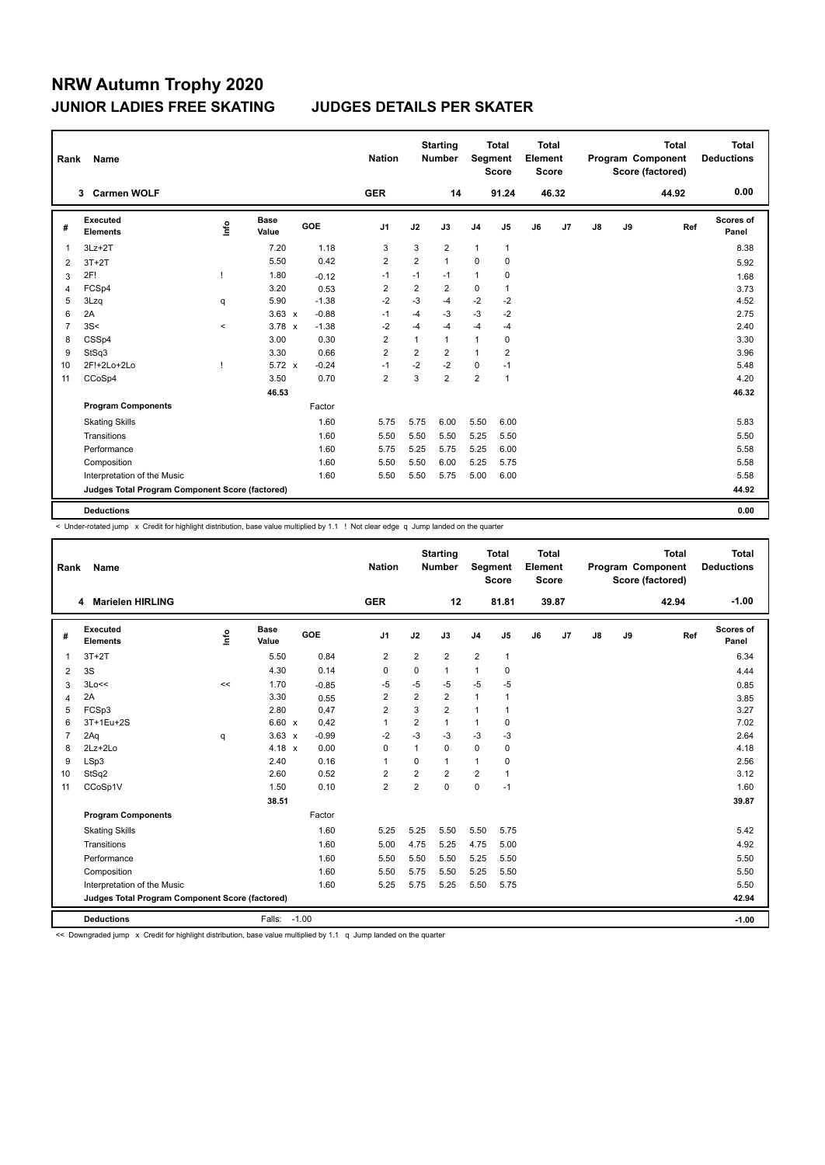| Rank | Name                                            |                          |                      |            | <b>Nation</b>  |                | <b>Starting</b><br><b>Number</b> |                | <b>Total</b><br>Segment<br><b>Score</b> | <b>Total</b><br>Element<br><b>Score</b> |       |    |    | <b>Total</b><br>Program Component<br>Score (factored) | Total<br><b>Deductions</b> |
|------|-------------------------------------------------|--------------------------|----------------------|------------|----------------|----------------|----------------------------------|----------------|-----------------------------------------|-----------------------------------------|-------|----|----|-------------------------------------------------------|----------------------------|
|      | <b>Carmen WOLF</b><br>3                         |                          |                      |            | <b>GER</b>     |                | 14                               |                | 91.24                                   |                                         | 46.32 |    |    | 44.92                                                 | 0.00                       |
| #    | <b>Executed</b><br><b>Elements</b>              | ١nf٥                     | <b>Base</b><br>Value | <b>GOE</b> | J <sub>1</sub> | J2             | J3                               | J <sub>4</sub> | J <sub>5</sub>                          | J6                                      | J7    | J8 | J9 | Ref                                                   | Scores of<br>Panel         |
|      | $3Lz + 2T$                                      |                          | 7.20                 | 1.18       | 3              | 3              | 2                                | $\mathbf{1}$   | 1                                       |                                         |       |    |    |                                                       | 8.38                       |
| 2    | $3T+2T$                                         |                          | 5.50                 | 0.42       | $\overline{2}$ | $\overline{2}$ | $\mathbf{1}$                     | $\mathbf 0$    | 0                                       |                                         |       |    |    |                                                       | 5.92                       |
| 3    | 2F!                                             | ı                        | 1.80                 | $-0.12$    | $-1$           | $-1$           | $-1$                             | $\mathbf{1}$   | 0                                       |                                         |       |    |    |                                                       | 1.68                       |
| 4    | FCSp4                                           |                          | 3.20                 | 0.53       | 2              | 2              | $\overline{2}$                   | $\mathbf 0$    | 1                                       |                                         |       |    |    |                                                       | 3.73                       |
| 5    | 3Lzq                                            | q                        | 5.90                 | $-1.38$    | $-2$           | $-3$           | $-4$                             | $-2$           | $-2$                                    |                                         |       |    |    |                                                       | 4.52                       |
| 6    | 2A                                              |                          | $3.63 \times$        | $-0.88$    | $-1$           | $-4$           | $-3$                             | $-3$           | $-2$                                    |                                         |       |    |    |                                                       | 2.75                       |
| 7    | 3S<                                             | $\overline{\phantom{a}}$ | $3.78 \times$        | $-1.38$    | $-2$           | $-4$           | $-4$                             | $-4$           | $-4$                                    |                                         |       |    |    |                                                       | 2.40                       |
| 8    | CSSp4                                           |                          | 3.00                 | 0.30       | 2              | 1              | $\mathbf{1}$                     | $\mathbf{1}$   | 0                                       |                                         |       |    |    |                                                       | 3.30                       |
| 9    | StSq3                                           |                          | 3.30                 | 0.66       | 2              | 2              | $\overline{2}$                   | $\mathbf{1}$   | $\overline{2}$                          |                                         |       |    |    |                                                       | 3.96                       |
| 10   | 2F!+2Lo+2Lo                                     |                          | $5.72 \times$        | $-0.24$    | $-1$           | $-2$           | $-2$                             | 0              | $-1$                                    |                                         |       |    |    |                                                       | 5.48                       |
| 11   | CCoSp4                                          |                          | 3.50                 | 0.70       | $\overline{2}$ | 3              | $\overline{2}$                   | 2              | 1                                       |                                         |       |    |    |                                                       | 4.20                       |
|      |                                                 |                          | 46.53                |            |                |                |                                  |                |                                         |                                         |       |    |    |                                                       | 46.32                      |
|      | <b>Program Components</b>                       |                          |                      | Factor     |                |                |                                  |                |                                         |                                         |       |    |    |                                                       |                            |
|      | <b>Skating Skills</b>                           |                          |                      | 1.60       | 5.75           | 5.75           | 6.00                             | 5.50           | 6.00                                    |                                         |       |    |    |                                                       | 5.83                       |
|      | Transitions                                     |                          |                      | 1.60       | 5.50           | 5.50           | 5.50                             | 5.25           | 5.50                                    |                                         |       |    |    |                                                       | 5.50                       |
|      | Performance                                     |                          |                      | 1.60       | 5.75           | 5.25           | 5.75                             | 5.25           | 6.00                                    |                                         |       |    |    |                                                       | 5.58                       |
|      | Composition                                     |                          |                      | 1.60       | 5.50           | 5.50           | 6.00                             | 5.25           | 5.75                                    |                                         |       |    |    |                                                       | 5.58                       |
|      | Interpretation of the Music                     |                          |                      | 1.60       | 5.50           | 5.50           | 5.75                             | 5.00           | 6.00                                    |                                         |       |    |    |                                                       | 5.58                       |
|      | Judges Total Program Component Score (factored) |                          |                      |            |                |                |                                  |                |                                         |                                         |       |    |    |                                                       | 44.92                      |
|      | <b>Deductions</b>                               |                          |                      |            |                |                |                                  |                |                                         |                                         |       |    |    |                                                       | 0.00                       |

< Under-rotated jump x Credit for highlight distribution, base value multiplied by 1.1 ! Not clear edge q Jump landed on the quarter

| Rank           | Name                                            |                                  |                      |         | <b>Nation</b>  |                | <b>Starting</b><br><b>Number</b> | <b>Segment</b> | <b>Total</b><br><b>Score</b> | <b>Total</b><br>Element<br><b>Score</b> |       |    |    | <b>Total</b><br>Program Component<br>Score (factored) | Total<br><b>Deductions</b> |
|----------------|-------------------------------------------------|----------------------------------|----------------------|---------|----------------|----------------|----------------------------------|----------------|------------------------------|-----------------------------------------|-------|----|----|-------------------------------------------------------|----------------------------|
|                | <b>Marielen HIRLING</b><br>4                    |                                  |                      |         | <b>GER</b>     |                | 12                               |                | 81.81                        |                                         | 39.87 |    |    | 42.94                                                 | $-1.00$                    |
| #              | Executed<br><b>Elements</b>                     | $\mathop{\mathsf{Irr}}\nolimits$ | <b>Base</b><br>Value | GOE     | J <sub>1</sub> | J2             | J3                               | J <sub>4</sub> | J <sub>5</sub>               | J6                                      | J7    | J8 | J9 | Ref                                                   | Scores of<br>Panel         |
| 1              | $3T+2T$                                         |                                  | 5.50                 | 0.84    | $\overline{2}$ | $\overline{2}$ | $\overline{2}$                   | $\overline{2}$ | $\mathbf{1}$                 |                                         |       |    |    |                                                       | 6.34                       |
| 2              | 3S                                              |                                  | 4.30                 | 0.14    | 0              | 0              | $\mathbf{1}$                     | 1              | 0                            |                                         |       |    |    |                                                       | 4.44                       |
| 3              | 3Lo<<                                           | $\prec$                          | 1.70                 | $-0.85$ | $-5$           | $-5$           | $-5$                             | $-5$           | $-5$                         |                                         |       |    |    |                                                       | 0.85                       |
| 4              | 2A                                              |                                  | 3.30                 | 0.55    | $\overline{2}$ | $\overline{2}$ | $\overline{2}$                   | $\mathbf{1}$   | 1                            |                                         |       |    |    |                                                       | 3.85                       |
| 5              | FCSp3                                           |                                  | 2.80                 | 0.47    | $\overline{2}$ | 3              | $\overline{2}$                   | 1              | 1                            |                                         |       |    |    |                                                       | 3.27                       |
| 6              | 3T+1Eu+2S                                       |                                  | $6.60 \times$        | 0.42    | $\mathbf{1}$   | 2              | $\mathbf{1}$                     | $\mathbf{1}$   | $\mathbf 0$                  |                                         |       |    |    |                                                       | 7.02                       |
| $\overline{7}$ | 2Aq                                             | q                                | $3.63 \times$        | $-0.99$ | $-2$           | $-3$           | $-3$                             | $-3$           | $-3$                         |                                         |       |    |    |                                                       | 2.64                       |
| 8              | $2Lz+2Lo$                                       |                                  | $4.18 \times$        | 0.00    | 0              | 1              | $\Omega$                         | $\mathbf 0$    | 0                            |                                         |       |    |    |                                                       | 4.18                       |
| 9              | LSp3                                            |                                  | 2.40                 | 0.16    | $\overline{1}$ | 0              | $\mathbf{1}$                     | 1              | 0                            |                                         |       |    |    |                                                       | 2.56                       |
| 10             | StSq2                                           |                                  | 2.60                 | 0.52    | $\overline{2}$ | $\overline{2}$ | $\overline{2}$                   | $\overline{2}$ | $\mathbf{1}$                 |                                         |       |    |    |                                                       | 3.12                       |
| 11             | CCoSp1V                                         |                                  | 1.50                 | 0.10    | $\overline{2}$ | 2              | $\mathbf 0$                      | $\mathbf 0$    | $-1$                         |                                         |       |    |    |                                                       | 1.60                       |
|                |                                                 |                                  | 38.51                |         |                |                |                                  |                |                              |                                         |       |    |    |                                                       | 39.87                      |
|                | <b>Program Components</b>                       |                                  |                      | Factor  |                |                |                                  |                |                              |                                         |       |    |    |                                                       |                            |
|                | <b>Skating Skills</b>                           |                                  |                      | 1.60    | 5.25           | 5.25           | 5.50                             | 5.50           | 5.75                         |                                         |       |    |    |                                                       | 5.42                       |
|                | Transitions                                     |                                  |                      | 1.60    | 5.00           | 4.75           | 5.25                             | 4.75           | 5.00                         |                                         |       |    |    |                                                       | 4.92                       |
|                | Performance                                     |                                  |                      | 1.60    | 5.50           | 5.50           | 5.50                             | 5.25           | 5.50                         |                                         |       |    |    |                                                       | 5.50                       |
|                | Composition                                     |                                  |                      | 1.60    | 5.50           | 5.75           | 5.50                             | 5.25           | 5.50                         |                                         |       |    |    |                                                       | 5.50                       |
|                | Interpretation of the Music                     |                                  |                      | 1.60    | 5.25           | 5.75           | 5.25                             | 5.50           | 5.75                         |                                         |       |    |    |                                                       | 5.50                       |
|                | Judges Total Program Component Score (factored) |                                  |                      |         |                |                |                                  |                |                              |                                         |       |    |    |                                                       | 42.94                      |
|                | <b>Deductions</b>                               |                                  | Falls: -1.00         |         |                |                |                                  |                |                              |                                         |       |    |    |                                                       | $-1.00$                    |

<< Downgraded jump x Credit for highlight distribution, base value multiplied by 1.1 q Jump landed on the quarter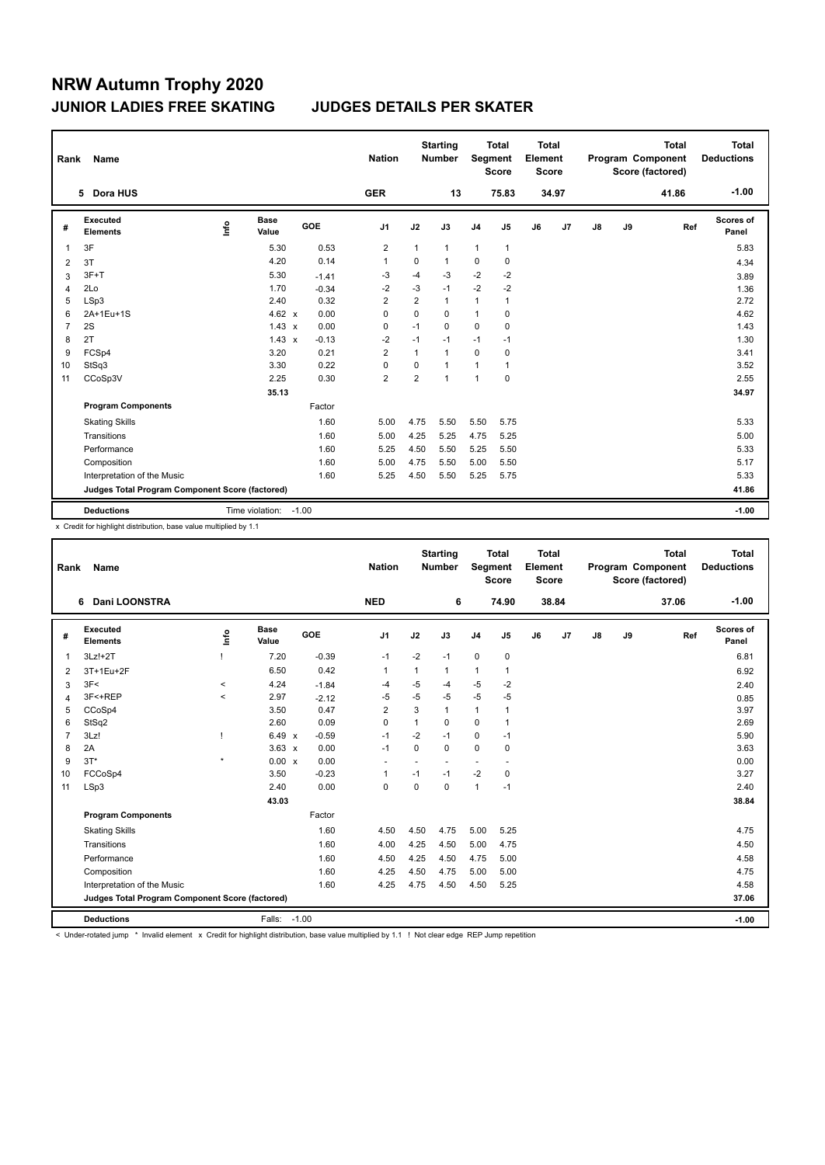| Rank           | Name                                            |      |                      |         |            | <b>Nation</b>  |                | <b>Starting</b><br><b>Number</b> |                | <b>Total</b><br>Segment<br><b>Score</b> | <b>Total</b><br>Element<br><b>Score</b> |       |               |    | <b>Total</b><br>Program Component<br>Score (factored) | <b>Total</b><br><b>Deductions</b> |
|----------------|-------------------------------------------------|------|----------------------|---------|------------|----------------|----------------|----------------------------------|----------------|-----------------------------------------|-----------------------------------------|-------|---------------|----|-------------------------------------------------------|-----------------------------------|
|                | 5 Dora HUS                                      |      |                      |         |            | <b>GER</b>     |                | 13                               |                | 75.83                                   |                                         | 34.97 |               |    | 41.86                                                 | $-1.00$                           |
| #              | <b>Executed</b><br><b>Elements</b>              | ١nf٥ | <b>Base</b><br>Value |         | <b>GOE</b> | J <sub>1</sub> | J2             | J3                               | J <sub>4</sub> | J5                                      | J6                                      | J7    | $\mathsf{J}8$ | J9 | Ref                                                   | Scores of<br>Panel                |
| 1              | 3F                                              |      | 5.30                 |         | 0.53       | $\overline{2}$ | $\mathbf{1}$   | $\mathbf{1}$                     | $\mathbf{1}$   | $\mathbf{1}$                            |                                         |       |               |    |                                                       | 5.83                              |
| 2              | 3T                                              |      | 4.20                 |         | 0.14       | $\overline{1}$ | 0              | $\mathbf{1}$                     | 0              | 0                                       |                                         |       |               |    |                                                       | 4.34                              |
| 3              | $3F+T$                                          |      | 5.30                 |         | $-1.41$    | $-3$           | $-4$           | $-3$                             | $-2$           | $-2$                                    |                                         |       |               |    |                                                       | 3.89                              |
| $\overline{4}$ | 2Lo                                             |      | 1.70                 |         | $-0.34$    | $-2$           | $-3$           | $-1$                             | $-2$           | $-2$                                    |                                         |       |               |    |                                                       | 1.36                              |
| 5              | LSp3                                            |      | 2.40                 |         | 0.32       | $\overline{2}$ | 2              | 1                                | 1              | 1                                       |                                         |       |               |    |                                                       | 2.72                              |
| 6              | 2A+1Eu+1S                                       |      | 4.62 $x$             |         | 0.00       | 0              | $\mathbf 0$    | 0                                | 1              | 0                                       |                                         |       |               |    |                                                       | 4.62                              |
| 7              | 2S                                              |      | $1.43 \times$        |         | 0.00       | $\mathbf 0$    | $-1$           | $\mathbf 0$                      | $\mathbf 0$    | $\mathbf 0$                             |                                         |       |               |    |                                                       | 1.43                              |
| 8              | 2T                                              |      | $1.43 \times$        |         | $-0.13$    | $-2$           | $-1$           | $-1$                             | $-1$           | $-1$                                    |                                         |       |               |    |                                                       | 1.30                              |
| 9              | FCSp4                                           |      | 3.20                 |         | 0.21       | $\overline{2}$ | $\mathbf{1}$   | 1                                | $\mathbf 0$    | $\mathbf 0$                             |                                         |       |               |    |                                                       | 3.41                              |
| 10             | StSq3                                           |      | 3.30                 |         | 0.22       | 0              | $\mathbf 0$    | $\mathbf{1}$                     | 1              | 1                                       |                                         |       |               |    |                                                       | 3.52                              |
| 11             | CCoSp3V                                         |      | 2.25                 |         | 0.30       | $\overline{2}$ | $\overline{2}$ | 1                                | 1              | $\mathbf 0$                             |                                         |       |               |    |                                                       | 2.55                              |
|                |                                                 |      | 35.13                |         |            |                |                |                                  |                |                                         |                                         |       |               |    |                                                       | 34.97                             |
|                | <b>Program Components</b>                       |      |                      |         | Factor     |                |                |                                  |                |                                         |                                         |       |               |    |                                                       |                                   |
|                | <b>Skating Skills</b>                           |      |                      |         | 1.60       | 5.00           | 4.75           | 5.50                             | 5.50           | 5.75                                    |                                         |       |               |    |                                                       | 5.33                              |
|                | Transitions                                     |      |                      |         | 1.60       | 5.00           | 4.25           | 5.25                             | 4.75           | 5.25                                    |                                         |       |               |    |                                                       | 5.00                              |
|                | Performance                                     |      |                      |         | 1.60       | 5.25           | 4.50           | 5.50                             | 5.25           | 5.50                                    |                                         |       |               |    |                                                       | 5.33                              |
|                | Composition                                     |      |                      |         | 1.60       | 5.00           | 4.75           | 5.50                             | 5.00           | 5.50                                    |                                         |       |               |    |                                                       | 5.17                              |
|                | Interpretation of the Music                     |      |                      |         | 1.60       | 5.25           | 4.50           | 5.50                             | 5.25           | 5.75                                    |                                         |       |               |    |                                                       | 5.33                              |
|                | Judges Total Program Component Score (factored) |      |                      |         |            |                |                |                                  |                |                                         |                                         |       |               |    |                                                       | 41.86                             |
|                | <b>Deductions</b>                               |      | Time violation:      | $-1.00$ |            |                |                |                                  |                |                                         |                                         |       |               |    |                                                       | $-1.00$                           |

x Credit for highlight distribution, base value multiplied by 1.1

| Rank           | Name                                            |         |                      |         | <b>Nation</b>            |             | <b>Starting</b><br><b>Number</b> | Segment        | Total<br><b>Score</b> | <b>Total</b><br>Element<br><b>Score</b> |       |               |    | <b>Total</b><br>Program Component<br>Score (factored) | <b>Total</b><br><b>Deductions</b> |
|----------------|-------------------------------------------------|---------|----------------------|---------|--------------------------|-------------|----------------------------------|----------------|-----------------------|-----------------------------------------|-------|---------------|----|-------------------------------------------------------|-----------------------------------|
|                | 6 Dani LOONSTRA                                 |         |                      |         | <b>NED</b>               |             | 6                                |                | 74.90                 |                                         | 38.84 |               |    | 37.06                                                 | $-1.00$                           |
| #              | Executed<br><b>Elements</b>                     | Linfo   | <b>Base</b><br>Value | GOE     | J <sub>1</sub>           | J2          | J3                               | J <sub>4</sub> | J5                    | J6                                      | J7    | $\mathsf{J}8$ | J9 | Ref                                                   | <b>Scores of</b><br>Panel         |
| 1              | $3Lz!+2T$                                       |         | 7.20                 | $-0.39$ | $-1$                     | $-2$        | $-1$                             | 0              | $\mathbf 0$           |                                         |       |               |    |                                                       | 6.81                              |
| 2              | 3T+1Eu+2F                                       |         | 6.50                 | 0.42    | 1                        | 1           | 1                                | $\mathbf{1}$   | 1                     |                                         |       |               |    |                                                       | 6.92                              |
| 3              | 3F<                                             | $\prec$ | 4.24                 | $-1.84$ | $-4$                     | $-5$        | $-4$                             | $-5$           | $-2$                  |                                         |       |               |    |                                                       | 2.40                              |
| $\overline{4}$ | 3F<+REP                                         | $\prec$ | 2.97                 | $-2.12$ | $-5$                     | $-5$        | $-5$                             | $-5$           | $-5$                  |                                         |       |               |    |                                                       | 0.85                              |
| 5              | CCoSp4                                          |         | 3.50                 | 0.47    | $\overline{2}$           | 3           | 1                                | 1              | 1                     |                                         |       |               |    |                                                       | 3.97                              |
| 6              | StSq2                                           |         | 2.60                 | 0.09    | 0                        | 1           | 0                                | 0              |                       |                                         |       |               |    |                                                       | 2.69                              |
| $\overline{7}$ | 3Lz!                                            | J       | $6.49 \times$        | $-0.59$ | $-1$                     | $-2$        | $-1$                             | $\mathbf 0$    | $-1$                  |                                         |       |               |    |                                                       | 5.90                              |
| 8              | 2A                                              |         | $3.63 \times$        | 0.00    | $-1$                     | $\mathbf 0$ | 0                                | $\mathbf 0$    | $\mathbf 0$           |                                         |       |               |    |                                                       | 3.63                              |
| 9              | $3T^*$                                          | $\star$ | 0.00 x               | 0.00    | $\overline{\phantom{a}}$ |             | $\overline{\phantom{a}}$         | ٠              |                       |                                         |       |               |    |                                                       | 0.00                              |
| 10             | FCCoSp4                                         |         | 3.50                 | $-0.23$ | 1                        | $-1$        | $-1$                             | $-2$           | 0                     |                                         |       |               |    |                                                       | 3.27                              |
| 11             | LSp3                                            |         | 2.40                 | 0.00    | $\mathbf 0$              | $\Omega$    | $\Omega$                         | $\mathbf{1}$   | $-1$                  |                                         |       |               |    |                                                       | 2.40                              |
|                |                                                 |         | 43.03                |         |                          |             |                                  |                |                       |                                         |       |               |    |                                                       | 38.84                             |
|                | <b>Program Components</b>                       |         |                      | Factor  |                          |             |                                  |                |                       |                                         |       |               |    |                                                       |                                   |
|                | <b>Skating Skills</b>                           |         |                      | 1.60    | 4.50                     | 4.50        | 4.75                             | 5.00           | 5.25                  |                                         |       |               |    |                                                       | 4.75                              |
|                | Transitions                                     |         |                      | 1.60    | 4.00                     | 4.25        | 4.50                             | 5.00           | 4.75                  |                                         |       |               |    |                                                       | 4.50                              |
|                | Performance                                     |         |                      | 1.60    | 4.50                     | 4.25        | 4.50                             | 4.75           | 5.00                  |                                         |       |               |    |                                                       | 4.58                              |
|                | Composition                                     |         |                      | 1.60    | 4.25                     | 4.50        | 4.75                             | 5.00           | 5.00                  |                                         |       |               |    |                                                       | 4.75                              |
|                | Interpretation of the Music                     |         |                      | 1.60    | 4.25                     | 4.75        | 4.50                             | 4.50           | 5.25                  |                                         |       |               |    |                                                       | 4.58                              |
|                | Judges Total Program Component Score (factored) |         |                      |         |                          |             |                                  |                |                       |                                         |       |               |    |                                                       | 37.06                             |
|                | <b>Deductions</b>                               |         | Falls: - 1.00        |         |                          |             |                                  |                |                       |                                         |       |               |    |                                                       | $-1.00$                           |

< Under-rotated jump \* Invalid element x Credit for highlight distribution, base value multiplied by 1.1 ! Not clear edge REP Jump repetition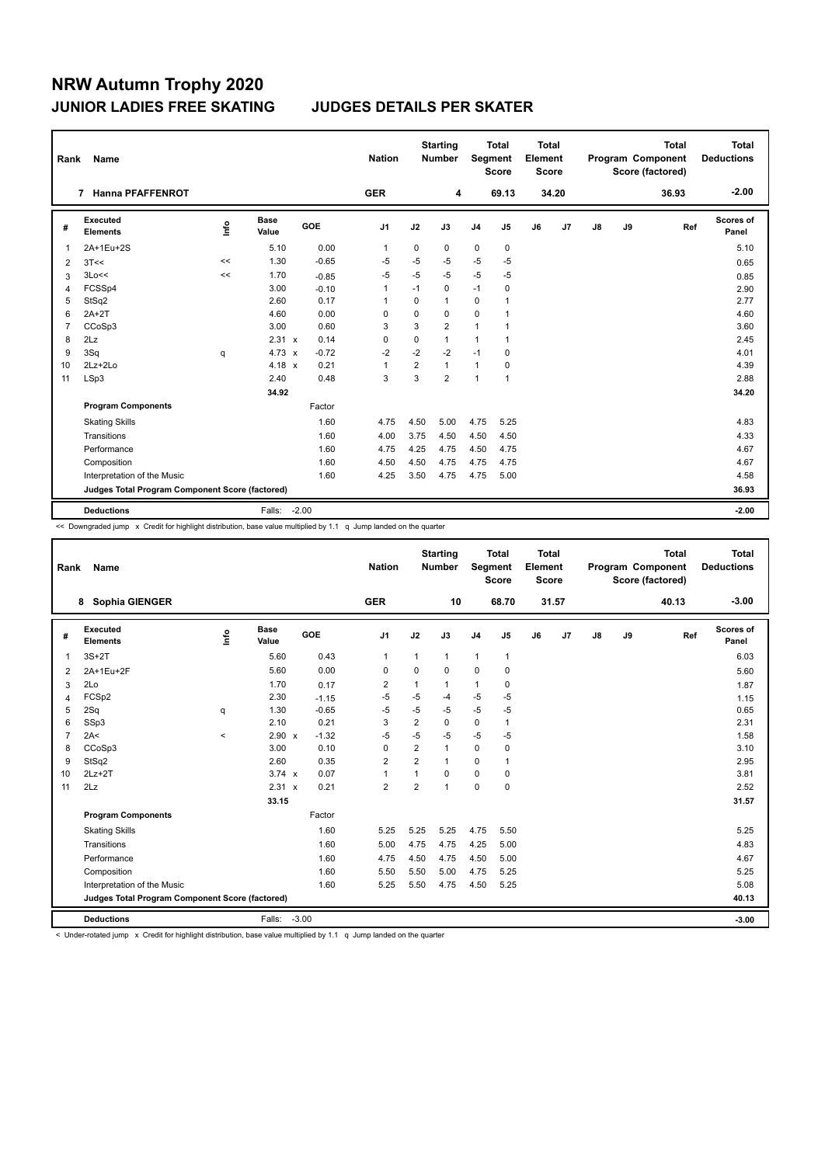| Rank           | <b>Name</b>                                     |      |                      |         | <b>Nation</b>  |                | <b>Starting</b><br><b>Number</b> | Segment        | <b>Total</b><br><b>Score</b> | Total<br>Element<br>Score |       |    |    | <b>Total</b><br>Program Component<br>Score (factored) | Total<br><b>Deductions</b> |
|----------------|-------------------------------------------------|------|----------------------|---------|----------------|----------------|----------------------------------|----------------|------------------------------|---------------------------|-------|----|----|-------------------------------------------------------|----------------------------|
|                | <b>Hanna PFAFFENROT</b><br>7                    |      |                      |         | <b>GER</b>     |                | 4                                |                | 69.13                        |                           | 34.20 |    |    | 36.93                                                 | $-2.00$                    |
| #              | Executed<br><b>Elements</b>                     | lnfo | <b>Base</b><br>Value | GOE     | J <sub>1</sub> | J2             | J3                               | J <sub>4</sub> | J5                           | J6                        | J7    | J8 | J9 | Ref                                                   | <b>Scores of</b><br>Panel  |
| 1              | 2A+1Eu+2S                                       |      | 5.10                 | 0.00    | $\mathbf{1}$   | 0              | 0                                | 0              | 0                            |                           |       |    |    |                                                       | 5.10                       |
| 2              | 3T<<                                            | <<   | 1.30                 | $-0.65$ | $-5$           | -5             | $-5$                             | $-5$           | $-5$                         |                           |       |    |    |                                                       | 0.65                       |
| 3              | 3Lo<<                                           | <<   | 1.70                 | $-0.85$ | -5             | -5             | -5                               | $-5$           | -5                           |                           |       |    |    |                                                       | 0.85                       |
| $\overline{4}$ | FCSSp4                                          |      | 3.00                 | $-0.10$ | $\mathbf{1}$   | $-1$           | 0                                | $-1$           | 0                            |                           |       |    |    |                                                       | 2.90                       |
| 5              | StSq2                                           |      | 2.60                 | 0.17    | $\mathbf 1$    | 0              | 1                                | 0              | 1                            |                           |       |    |    |                                                       | 2.77                       |
| 6              | $2A+2T$                                         |      | 4.60                 | 0.00    | 0              | $\mathbf 0$    | 0                                | $\mathbf 0$    | 1                            |                           |       |    |    |                                                       | 4.60                       |
| $\overline{7}$ | CCoSp3                                          |      | 3.00                 | 0.60    | 3              | 3              | $\overline{2}$                   | $\mathbf{1}$   | 1                            |                           |       |    |    |                                                       | 3.60                       |
| 8              | 2Lz                                             |      | 2.31 x               | 0.14    | 0              | 0              | 1                                | $\mathbf{1}$   | 1                            |                           |       |    |    |                                                       | 2.45                       |
| 9              | 3Sq                                             | q    | $4.73 \times$        | $-0.72$ | $-2$           | $-2$           | $-2$                             | $-1$           | 0                            |                           |       |    |    |                                                       | 4.01                       |
| 10             | $2Lz + 2Lo$                                     |      | $4.18 \times$        | 0.21    | $\overline{1}$ | $\overline{2}$ | 1                                | $\mathbf{1}$   | 0                            |                           |       |    |    |                                                       | 4.39                       |
| 11             | LSp3                                            |      | 2.40                 | 0.48    | 3              | 3              | $\overline{2}$                   | $\mathbf{1}$   | 1                            |                           |       |    |    |                                                       | 2.88                       |
|                |                                                 |      | 34.92                |         |                |                |                                  |                |                              |                           |       |    |    |                                                       | 34.20                      |
|                | <b>Program Components</b>                       |      |                      | Factor  |                |                |                                  |                |                              |                           |       |    |    |                                                       |                            |
|                | <b>Skating Skills</b>                           |      |                      | 1.60    | 4.75           | 4.50           | 5.00                             | 4.75           | 5.25                         |                           |       |    |    |                                                       | 4.83                       |
|                | Transitions                                     |      |                      | 1.60    | 4.00           | 3.75           | 4.50                             | 4.50           | 4.50                         |                           |       |    |    |                                                       | 4.33                       |
|                | Performance                                     |      |                      | 1.60    | 4.75           | 4.25           | 4.75                             | 4.50           | 4.75                         |                           |       |    |    |                                                       | 4.67                       |
|                | Composition                                     |      |                      | 1.60    | 4.50           | 4.50           | 4.75                             | 4.75           | 4.75                         |                           |       |    |    |                                                       | 4.67                       |
|                | Interpretation of the Music                     |      |                      | 1.60    | 4.25           | 3.50           | 4.75                             | 4.75           | 5.00                         |                           |       |    |    |                                                       | 4.58                       |
|                | Judges Total Program Component Score (factored) |      |                      |         |                |                |                                  |                |                              |                           |       |    |    |                                                       | 36.93                      |
|                | <b>Deductions</b>                               |      | Falls:               | $-2.00$ |                |                |                                  |                |                              |                           |       |    |    |                                                       | $-2.00$                    |

<< Downgraded jump x Credit for highlight distribution, base value multiplied by 1.1 q Jump landed on the quarter

| Rank           | Name                                            |         |                      |            | <b>Nation</b>  |                | <b>Starting</b><br><b>Number</b> | <b>Segment</b> | <b>Total</b><br><b>Score</b> | Total<br>Element<br>Score |       |               |    | <b>Total</b><br>Program Component<br>Score (factored) | <b>Total</b><br><b>Deductions</b> |
|----------------|-------------------------------------------------|---------|----------------------|------------|----------------|----------------|----------------------------------|----------------|------------------------------|---------------------------|-------|---------------|----|-------------------------------------------------------|-----------------------------------|
|                | <b>Sophia GIENGER</b><br>8                      |         |                      |            | <b>GER</b>     |                | 10                               |                | 68.70                        |                           | 31.57 |               |    | 40.13                                                 | $-3.00$                           |
| #              | Executed<br><b>Elements</b>                     | ١nf٥    | <b>Base</b><br>Value | <b>GOE</b> | J <sub>1</sub> | J2             | J3                               | J <sub>4</sub> | J5                           | J6                        | J7    | $\mathsf{J}8$ | J9 | Ref                                                   | Scores of<br>Panel                |
| 1              | $3S+2T$                                         |         | 5.60                 | 0.43       | $\mathbf{1}$   | $\mathbf{1}$   | $\mathbf{1}$                     | $\mathbf{1}$   | $\mathbf{1}$                 |                           |       |               |    |                                                       | 6.03                              |
| 2              | 2A+1Eu+2F                                       |         | 5.60                 | 0.00       | $\Omega$       | $\Omega$       | $\Omega$                         | $\Omega$       | 0                            |                           |       |               |    |                                                       | 5.60                              |
| 3              | 2Lo                                             |         | 1.70                 | 0.17       | $\overline{2}$ | 1              | $\mathbf{1}$                     | $\mathbf{1}$   | 0                            |                           |       |               |    |                                                       | 1.87                              |
| $\overline{4}$ | FCSp2                                           |         | 2.30                 | $-1.15$    | $-5$           | $-5$           | $-4$                             | $-5$           | $-5$                         |                           |       |               |    |                                                       | 1.15                              |
| 5              | 2Sq                                             | q       | 1.30                 | $-0.65$    | $-5$           | $-5$           | $-5$                             | $-5$           | $-5$                         |                           |       |               |    |                                                       | 0.65                              |
| 6              | SSp3                                            |         | 2.10                 | 0.21       | 3              | $\overline{2}$ | $\Omega$                         | $\mathbf 0$    | $\mathbf{1}$                 |                           |       |               |    |                                                       | 2.31                              |
| $\overline{7}$ | 2A<                                             | $\prec$ | 2.90 x               | $-1.32$    | $-5$           | $-5$           | $-5$                             | $-5$           | $-5$                         |                           |       |               |    |                                                       | 1.58                              |
| 8              | CCoSp3                                          |         | 3.00                 | 0.10       | $\mathbf 0$    | 2              | $\mathbf{1}$                     | $\mathbf 0$    | $\mathbf 0$                  |                           |       |               |    |                                                       | 3.10                              |
| 9              | StSq2                                           |         | 2.60                 | 0.35       | $\overline{2}$ | 2              | $\mathbf{1}$                     | $\mathbf 0$    | $\mathbf{1}$                 |                           |       |               |    |                                                       | 2.95                              |
| 10             | $2Lz+2T$                                        |         | $3.74 \times$        | 0.07       | $\overline{1}$ | 1              | $\Omega$                         | $\mathbf 0$    | 0                            |                           |       |               |    |                                                       | 3.81                              |
| 11             | 2Lz                                             |         | 2.31 x               | 0.21       | $\overline{2}$ | 2              | $\overline{1}$                   | $\mathbf 0$    | $\mathbf 0$                  |                           |       |               |    |                                                       | 2.52                              |
|                |                                                 |         | 33.15                |            |                |                |                                  |                |                              |                           |       |               |    |                                                       | 31.57                             |
|                | <b>Program Components</b>                       |         |                      | Factor     |                |                |                                  |                |                              |                           |       |               |    |                                                       |                                   |
|                | <b>Skating Skills</b>                           |         |                      | 1.60       | 5.25           | 5.25           | 5.25                             | 4.75           | 5.50                         |                           |       |               |    |                                                       | 5.25                              |
|                | Transitions                                     |         |                      | 1.60       | 5.00           | 4.75           | 4.75                             | 4.25           | 5.00                         |                           |       |               |    |                                                       | 4.83                              |
|                | Performance                                     |         |                      | 1.60       | 4.75           | 4.50           | 4.75                             | 4.50           | 5.00                         |                           |       |               |    |                                                       | 4.67                              |
|                | Composition                                     |         |                      | 1.60       | 5.50           | 5.50           | 5.00                             | 4.75           | 5.25                         |                           |       |               |    |                                                       | 5.25                              |
|                | Interpretation of the Music                     |         |                      | 1.60       | 5.25           | 5.50           | 4.75                             | 4.50           | 5.25                         |                           |       |               |    |                                                       | 5.08                              |
|                | Judges Total Program Component Score (factored) |         |                      |            |                |                |                                  |                |                              |                           |       |               |    |                                                       | 40.13                             |
|                | <b>Deductions</b>                               |         | Falls: -3.00         |            |                |                |                                  |                |                              |                           |       |               |    |                                                       | $-3.00$                           |

< Under-rotated jump x Credit for highlight distribution, base value multiplied by 1.1 q Jump landed on the quarter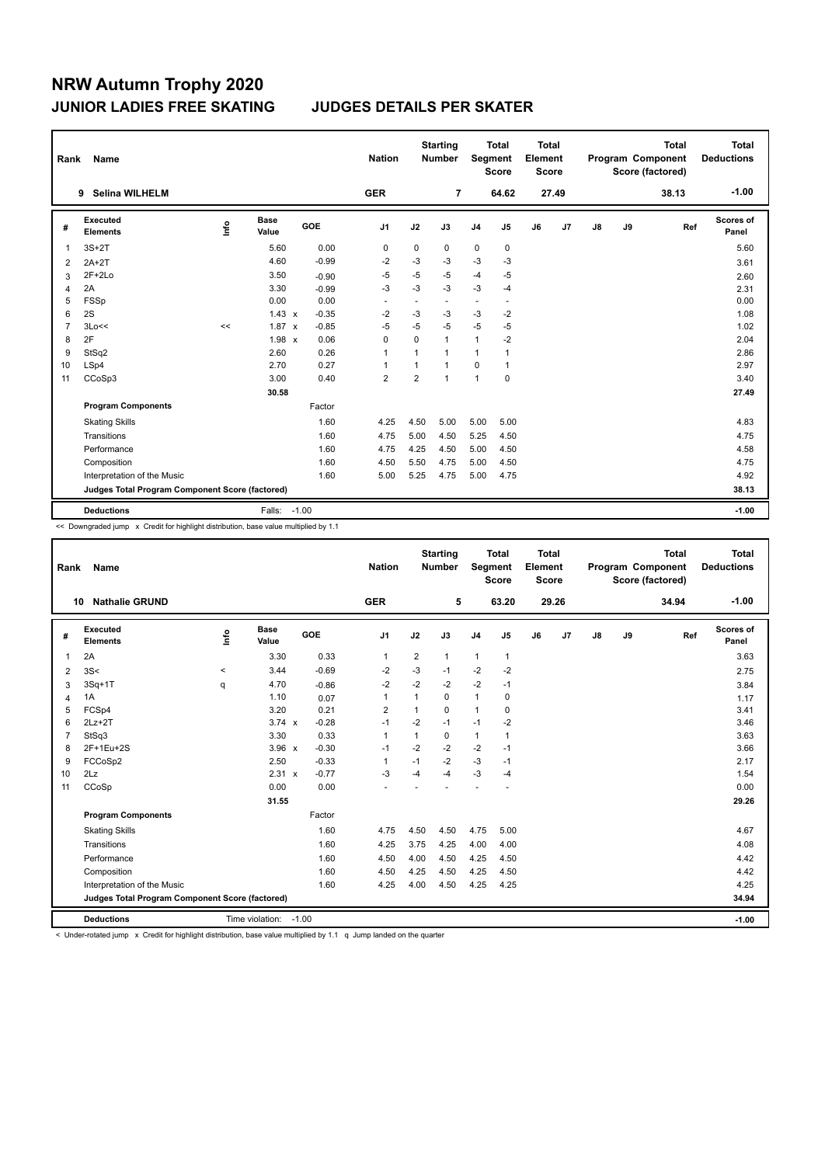| Rank           | Name                                            |      |                      |                         | <b>Nation</b>  |             | <b>Starting</b><br><b>Number</b> | Segment        | Total<br><b>Score</b>    | <b>Total</b><br>Element<br><b>Score</b> |       |    |    | <b>Total</b><br>Program Component<br>Score (factored) | <b>Total</b><br><b>Deductions</b> |
|----------------|-------------------------------------------------|------|----------------------|-------------------------|----------------|-------------|----------------------------------|----------------|--------------------------|-----------------------------------------|-------|----|----|-------------------------------------------------------|-----------------------------------|
|                | <b>Selina WILHELM</b><br>9                      |      |                      |                         | <b>GER</b>     |             | $\overline{7}$                   |                | 64.62                    |                                         | 27.49 |    |    | 38.13                                                 | $-1.00$                           |
| #              | <b>Executed</b><br><b>Elements</b>              | ١nf٥ | <b>Base</b><br>Value | GOE                     | J <sub>1</sub> | J2          | J3                               | J <sub>4</sub> | J5                       | J6                                      | J7    | J8 | J9 | Ref                                                   | <b>Scores of</b><br>Panel         |
| 1              | $3S+2T$                                         |      | 5.60                 | 0.00                    | 0              | $\mathbf 0$ | 0                                | $\pmb{0}$      | $\mathbf 0$              |                                         |       |    |    |                                                       | 5.60                              |
| 2              | $2A+2T$                                         |      | 4.60                 | $-0.99$                 | $-2$           | $-3$        | $-3$                             | $-3$           | $-3$                     |                                         |       |    |    |                                                       | 3.61                              |
| 3              | $2F+2Lo$                                        |      | 3.50                 | $-0.90$                 | $-5$           | -5          | $-5$                             | $-4$           | $-5$                     |                                         |       |    |    |                                                       | 2.60                              |
| 4              | 2A                                              |      | 3.30                 | $-0.99$                 | $-3$           | $-3$        | $-3$                             | $-3$           | $-4$                     |                                         |       |    |    |                                                       | 2.31                              |
| 5              | FSSp                                            |      | 0.00                 | 0.00                    |                |             |                                  | ٠              | $\overline{\phantom{a}}$ |                                         |       |    |    |                                                       | 0.00                              |
| 6              | 2S                                              |      | $1.43 \times$        | $-0.35$                 | $-2$           | -3          | $-3$                             | $-3$           | $-2$                     |                                         |       |    |    |                                                       | 1.08                              |
| $\overline{7}$ | 3Lo<<                                           | <<   | 1.87                 | $-0.85$<br>$\mathsf{x}$ | $-5$           | $-5$        | $-5$                             | $-5$           | $-5$                     |                                         |       |    |    |                                                       | 1.02                              |
| 8              | 2F                                              |      | $1.98 \times$        | 0.06                    | 0              | $\mathbf 0$ | $\mathbf{1}$                     | 1              | -2                       |                                         |       |    |    |                                                       | 2.04                              |
| 9              | StSq2                                           |      | 2.60                 | 0.26                    | $\overline{1}$ | 1           | $\mathbf{1}$                     | 1              | 1                        |                                         |       |    |    |                                                       | 2.86                              |
| 10             | LSp4                                            |      | 2.70                 | 0.27                    | $\overline{1}$ | 1           | $\mathbf{1}$                     | $\Omega$       | $\mathbf{1}$             |                                         |       |    |    |                                                       | 2.97                              |
| 11             | CCoSp3                                          |      | 3.00                 | 0.40                    | $\overline{2}$ | 2           | $\mathbf{1}$                     | 1              | $\mathbf 0$              |                                         |       |    |    |                                                       | 3.40                              |
|                |                                                 |      | 30.58                |                         |                |             |                                  |                |                          |                                         |       |    |    |                                                       | 27.49                             |
|                | <b>Program Components</b>                       |      |                      | Factor                  |                |             |                                  |                |                          |                                         |       |    |    |                                                       |                                   |
|                | <b>Skating Skills</b>                           |      |                      | 1.60                    | 4.25           | 4.50        | 5.00                             | 5.00           | 5.00                     |                                         |       |    |    |                                                       | 4.83                              |
|                | Transitions                                     |      |                      | 1.60                    | 4.75           | 5.00        | 4.50                             | 5.25           | 4.50                     |                                         |       |    |    |                                                       | 4.75                              |
|                | Performance                                     |      |                      | 1.60                    | 4.75           | 4.25        | 4.50                             | 5.00           | 4.50                     |                                         |       |    |    |                                                       | 4.58                              |
|                | Composition                                     |      |                      | 1.60                    | 4.50           | 5.50        | 4.75                             | 5.00           | 4.50                     |                                         |       |    |    |                                                       | 4.75                              |
|                | Interpretation of the Music                     |      |                      | 1.60                    | 5.00           | 5.25        | 4.75                             | 5.00           | 4.75                     |                                         |       |    |    |                                                       | 4.92                              |
|                | Judges Total Program Component Score (factored) |      |                      |                         |                |             |                                  |                |                          |                                         |       |    |    |                                                       | 38.13                             |
|                | <b>Deductions</b>                               |      | Falls: -1.00         |                         |                |             |                                  |                |                          |                                         |       |    |    |                                                       | $-1.00$                           |

<< Downgraded jump x Credit for highlight distribution, base value multiplied by 1.1

| Rank | <b>Name</b>                                     |         |                      |            | <b>Nation</b>  |                | <b>Starting</b><br><b>Number</b> |                | <b>Total</b><br>Segment<br><b>Score</b> | <b>Total</b><br>Element<br><b>Score</b> |       |    |    | <b>Total</b><br>Program Component<br>Score (factored) | <b>Total</b><br><b>Deductions</b> |
|------|-------------------------------------------------|---------|----------------------|------------|----------------|----------------|----------------------------------|----------------|-----------------------------------------|-----------------------------------------|-------|----|----|-------------------------------------------------------|-----------------------------------|
| 10   | <b>Nathalie GRUND</b>                           |         |                      |            | <b>GER</b>     |                | 5                                |                | 63.20                                   |                                         | 29.26 |    |    | 34.94                                                 | $-1.00$                           |
| #    | Executed<br><b>Elements</b>                     | Info    | <b>Base</b><br>Value | <b>GOE</b> | J1             | J2             | J3                               | J <sub>4</sub> | J5                                      | J6                                      | J7    | J8 | J9 | Ref                                                   | Scores of<br>Panel                |
| 1    | 2A                                              |         | 3.30                 | 0.33       | $\mathbf{1}$   | $\overline{2}$ | 1                                | $\mathbf{1}$   | $\mathbf{1}$                            |                                         |       |    |    |                                                       | 3.63                              |
| 2    | 3S<                                             | $\prec$ | 3.44                 | $-0.69$    | $-2$           | $-3$           | $-1$                             | $-2$           | $-2$                                    |                                         |       |    |    |                                                       | 2.75                              |
| 3    | $3Sq+1T$                                        | q       | 4.70                 | $-0.86$    | $-2$           | $-2$           | $-2$                             | $-2$           | $-1$                                    |                                         |       |    |    |                                                       | 3.84                              |
| 4    | 1A                                              |         | 1.10                 | 0.07       | $\mathbf{1}$   | 1              | 0                                | $\mathbf{1}$   | $\mathbf 0$                             |                                         |       |    |    |                                                       | 1.17                              |
| 5    | FCSp4                                           |         | 3.20                 | 0.21       | $\overline{2}$ | 1              | $\Omega$                         | $\mathbf{1}$   | $\mathbf 0$                             |                                         |       |    |    |                                                       | 3.41                              |
| 6    | $2Lz+2T$                                        |         | $3.74 \times$        | $-0.28$    | $-1$           | $-2$           | $-1$                             | $-1$           | $-2$                                    |                                         |       |    |    |                                                       | 3.46                              |
| 7    | StSq3                                           |         | 3.30                 | 0.33       | $\mathbf{1}$   | 1              | $\Omega$                         | $\mathbf{1}$   | 1                                       |                                         |       |    |    |                                                       | 3.63                              |
| 8    | 2F+1Eu+2S                                       |         | $3.96 \times$        | $-0.30$    | $-1$           | $-2$           | $-2$                             | $-2$           | $-1$                                    |                                         |       |    |    |                                                       | 3.66                              |
| 9    | FCCoSp2                                         |         | 2.50                 | $-0.33$    | $\mathbf{1}$   | $-1$           | $-2$                             | $-3$           | $-1$                                    |                                         |       |    |    |                                                       | 2.17                              |
| 10   | 2Lz                                             |         | 2.31 x               | $-0.77$    | $-3$           | $-4$           | $-4$                             | $-3$           | $-4$                                    |                                         |       |    |    |                                                       | 1.54                              |
| 11   | CCoSp                                           |         | 0.00                 | 0.00       | ÷              |                |                                  |                |                                         |                                         |       |    |    |                                                       | 0.00                              |
|      |                                                 |         | 31.55                |            |                |                |                                  |                |                                         |                                         |       |    |    |                                                       | 29.26                             |
|      | <b>Program Components</b>                       |         |                      | Factor     |                |                |                                  |                |                                         |                                         |       |    |    |                                                       |                                   |
|      | <b>Skating Skills</b>                           |         |                      | 1.60       | 4.75           | 4.50           | 4.50                             | 4.75           | 5.00                                    |                                         |       |    |    |                                                       | 4.67                              |
|      | Transitions                                     |         |                      | 1.60       | 4.25           | 3.75           | 4.25                             | 4.00           | 4.00                                    |                                         |       |    |    |                                                       | 4.08                              |
|      | Performance                                     |         |                      | 1.60       | 4.50           | 4.00           | 4.50                             | 4.25           | 4.50                                    |                                         |       |    |    |                                                       | 4.42                              |
|      | Composition                                     |         |                      | 1.60       | 4.50           | 4.25           | 4.50                             | 4.25           | 4.50                                    |                                         |       |    |    |                                                       | 4.42                              |
|      | Interpretation of the Music                     |         |                      | 1.60       | 4.25           | 4.00           | 4.50                             | 4.25           | 4.25                                    |                                         |       |    |    |                                                       | 4.25                              |
|      | Judges Total Program Component Score (factored) |         |                      |            |                |                |                                  |                |                                         |                                         |       |    |    |                                                       | 34.94                             |
|      | <b>Deductions</b>                               |         | Time violation:      | $-1.00$    |                |                |                                  |                |                                         |                                         |       |    |    |                                                       | $-1.00$                           |

< Under-rotated jump x Credit for highlight distribution, base value multiplied by 1.1 q Jump landed on the quarter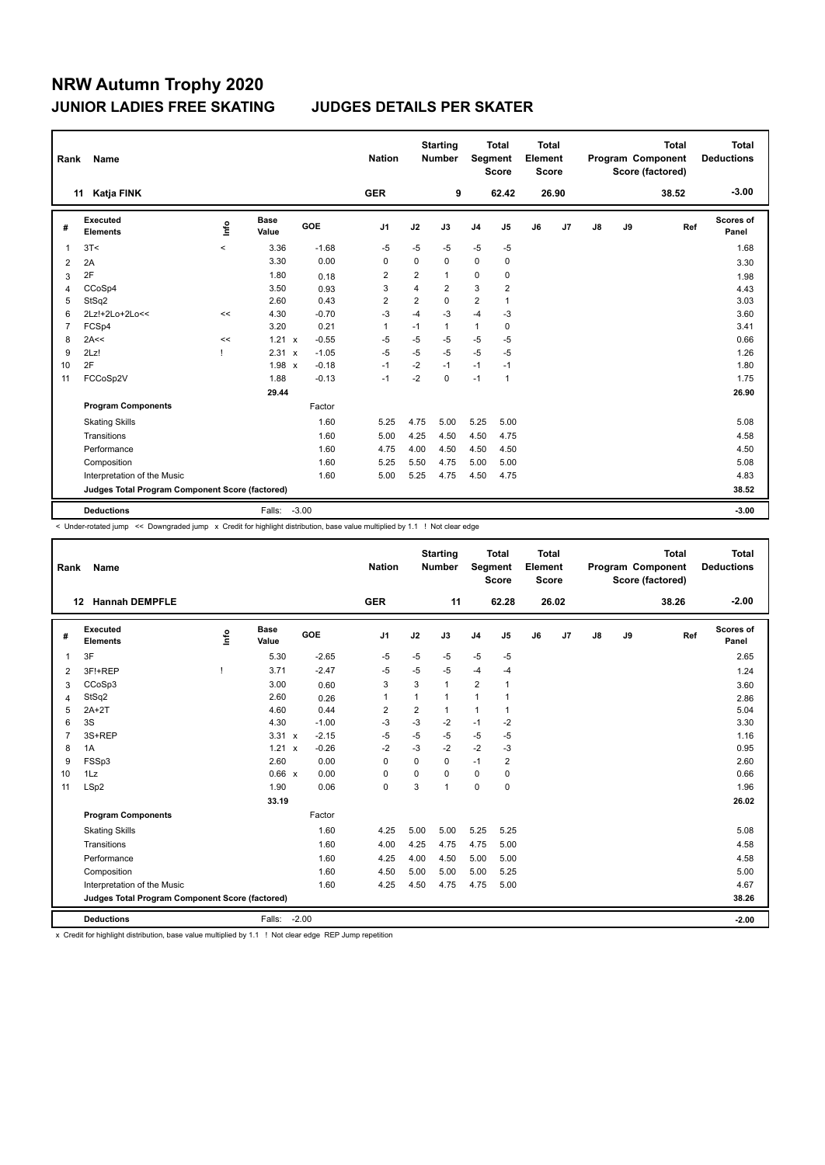| Rank           | Name                                            |                          |                      |         | <b>Nation</b>  |                | <b>Starting</b><br><b>Number</b> | <b>Segment</b> | <b>Total</b><br><b>Score</b> | <b>Total</b><br>Element<br><b>Score</b> |                |               |    | <b>Total</b><br>Program Component<br>Score (factored) | <b>Total</b><br><b>Deductions</b> |
|----------------|-------------------------------------------------|--------------------------|----------------------|---------|----------------|----------------|----------------------------------|----------------|------------------------------|-----------------------------------------|----------------|---------------|----|-------------------------------------------------------|-----------------------------------|
|                | Katja FINK<br>11                                |                          |                      |         | <b>GER</b>     |                | 9                                |                | 62.42                        |                                         | 26.90          |               |    | 38.52                                                 | $-3.00$                           |
| #              | Executed<br><b>Elements</b>                     | ١nf٥                     | <b>Base</b><br>Value | GOE     | J <sub>1</sub> | J2             | J3                               | J <sub>4</sub> | J5                           | J6                                      | J <sub>7</sub> | $\mathsf{J}8$ | J9 | Ref                                                   | Scores of<br>Panel                |
| 1              | 3T<                                             | $\overline{\phantom{0}}$ | 3.36                 | $-1.68$ | $-5$           | $-5$           | $-5$                             | $-5$           | $-5$                         |                                         |                |               |    |                                                       | 1.68                              |
| 2              | 2A                                              |                          | 3.30                 | 0.00    | 0              | $\Omega$       | $\Omega$                         | $\mathbf 0$    | 0                            |                                         |                |               |    |                                                       | 3.30                              |
| 3              | 2F                                              |                          | 1.80                 | 0.18    | $\overline{2}$ | $\overline{2}$ | $\mathbf{1}$                     | 0              | 0                            |                                         |                |               |    |                                                       | 1.98                              |
| 4              | CCoSp4                                          |                          | 3.50                 | 0.93    | 3              | $\overline{4}$ | $\overline{2}$                   | 3              | $\overline{2}$               |                                         |                |               |    |                                                       | 4.43                              |
| 5              | StSq2                                           |                          | 2.60                 | 0.43    | 2              | 2              | 0                                | $\overline{2}$ | 1                            |                                         |                |               |    |                                                       | 3.03                              |
| 6              | 2Lz!+2Lo+2Lo<<                                  | <<                       | 4.30                 | $-0.70$ | $-3$           | $-4$           | $-3$                             | $-4$           | $-3$                         |                                         |                |               |    |                                                       | 3.60                              |
| $\overline{7}$ | FCSp4                                           |                          | 3.20                 | 0.21    | $\mathbf{1}$   | $-1$           | $\mathbf{1}$                     | $\mathbf{1}$   | $\mathbf 0$                  |                                         |                |               |    |                                                       | 3.41                              |
| 8              | 2A<<                                            | <<                       | 1.21 x               | $-0.55$ | $-5$           | $-5$           | -5                               | $-5$           | $-5$                         |                                         |                |               |    |                                                       | 0.66                              |
| 9              | 2Lz!                                            |                          | $2.31 \times$        | $-1.05$ | $-5$           | $-5$           | $-5$                             | $-5$           | $-5$                         |                                         |                |               |    |                                                       | 1.26                              |
| 10             | 2F                                              |                          | $1.98 \times$        | $-0.18$ | $-1$           | $-2$           | $-1$                             | $-1$           | $-1$                         |                                         |                |               |    |                                                       | 1.80                              |
| 11             | FCCoSp2V                                        |                          | 1.88                 | $-0.13$ | $-1$           | $-2$           | $\Omega$                         | $-1$           | 1                            |                                         |                |               |    |                                                       | 1.75                              |
|                |                                                 |                          | 29.44                |         |                |                |                                  |                |                              |                                         |                |               |    |                                                       | 26.90                             |
|                | <b>Program Components</b>                       |                          |                      | Factor  |                |                |                                  |                |                              |                                         |                |               |    |                                                       |                                   |
|                | <b>Skating Skills</b>                           |                          |                      | 1.60    | 5.25           | 4.75           | 5.00                             | 5.25           | 5.00                         |                                         |                |               |    |                                                       | 5.08                              |
|                | Transitions                                     |                          |                      | 1.60    | 5.00           | 4.25           | 4.50                             | 4.50           | 4.75                         |                                         |                |               |    |                                                       | 4.58                              |
|                | Performance                                     |                          |                      | 1.60    | 4.75           | 4.00           | 4.50                             | 4.50           | 4.50                         |                                         |                |               |    |                                                       | 4.50                              |
|                | Composition                                     |                          |                      | 1.60    | 5.25           | 5.50           | 4.75                             | 5.00           | 5.00                         |                                         |                |               |    |                                                       | 5.08                              |
|                | Interpretation of the Music                     |                          |                      | 1.60    | 5.00           | 5.25           | 4.75                             | 4.50           | 4.75                         |                                         |                |               |    |                                                       | 4.83                              |
|                | Judges Total Program Component Score (factored) |                          |                      |         |                |                |                                  |                |                              |                                         |                |               |    |                                                       | 38.52                             |
|                | <b>Deductions</b>                               |                          | Falls:               | $-3.00$ |                |                |                                  |                |                              |                                         |                |               |    |                                                       | $-3.00$                           |

< Under-rotated jump << Downgraded jump x Credit for highlight distribution, base value multiplied by 1.1 ! Not clear edge

| Rank           | Name                                            |      |               |                         | <b>Nation</b>  |                | <b>Starting</b><br><b>Number</b> | Segment        | <b>Total</b><br><b>Score</b> | <b>Total</b><br>Element<br><b>Score</b> |       |               |    | <b>Total</b><br>Program Component<br>Score (factored) | <b>Total</b><br><b>Deductions</b> |
|----------------|-------------------------------------------------|------|---------------|-------------------------|----------------|----------------|----------------------------------|----------------|------------------------------|-----------------------------------------|-------|---------------|----|-------------------------------------------------------|-----------------------------------|
|                | <b>Hannah DEMPFLE</b><br>12                     |      |               |                         | <b>GER</b>     |                | 11                               |                | 62.28                        |                                         | 26.02 |               |    | 38.26                                                 | $-2.00$                           |
| #              | Executed<br><b>Elements</b>                     | ١nf٥ | Base<br>Value | GOE                     | J <sub>1</sub> | J2             | J3                               | J <sub>4</sub> | J5                           | J6                                      | J7    | $\mathsf{J}8$ | J9 | Ref                                                   | Scores of<br>Panel                |
| 1              | 3F                                              |      | 5.30          | $-2.65$                 | $-5$           | $-5$           | $-5$                             | $-5$           | $-5$                         |                                         |       |               |    |                                                       | 2.65                              |
| 2              | 3F!+REP                                         | ı    | 3.71          | $-2.47$                 | $-5$           | $-5$           | $-5$                             | $-4$           | -4                           |                                         |       |               |    |                                                       | 1.24                              |
| 3              | CCoSp3                                          |      | 3.00          | 0.60                    | 3              | 3              | $\mathbf{1}$                     | $\overline{2}$ | $\mathbf{1}$                 |                                         |       |               |    |                                                       | 3.60                              |
| 4              | StSq2                                           |      | 2.60          | 0.26                    | 1              | $\mathbf{1}$   | $\mathbf{1}$                     | $\mathbf{1}$   |                              |                                         |       |               |    |                                                       | 2.86                              |
| 5              | $2A+2T$                                         |      | 4.60          | 0.44                    | $\overline{2}$ | $\overline{2}$ | $\mathbf{1}$                     | 1              | $\mathbf{1}$                 |                                         |       |               |    |                                                       | 5.04                              |
| 6              | 3S                                              |      | 4.30          | $-1.00$                 | $-3$           | $-3$           | $-2$                             | $-1$           | $-2$                         |                                         |       |               |    |                                                       | 3.30                              |
| $\overline{7}$ | 3S+REP                                          |      | $3.31 \times$ | $-2.15$                 | $-5$           | $-5$           | $-5$                             | $-5$           | $-5$                         |                                         |       |               |    |                                                       | 1.16                              |
| 8              | 1A                                              |      | 1.21          | $-0.26$<br>$\mathsf{x}$ | $-2$           | $-3$           | $-2$                             | $-2$           | $-3$                         |                                         |       |               |    |                                                       | 0.95                              |
| 9              | FSSp3                                           |      | 2.60          | 0.00                    | $\mathbf 0$    | $\mathbf 0$    | 0                                | $-1$           | $\overline{2}$               |                                         |       |               |    |                                                       | 2.60                              |
| 10             | 1Lz                                             |      | 0.66 x        | 0.00                    | 0              | $\mathbf 0$    | $\Omega$                         | $\mathbf 0$    | 0                            |                                         |       |               |    |                                                       | 0.66                              |
| 11             | LSp2                                            |      | 1.90          | 0.06                    | $\mathbf 0$    | 3              | 1                                | 0              | $\mathbf 0$                  |                                         |       |               |    |                                                       | 1.96                              |
|                |                                                 |      | 33.19         |                         |                |                |                                  |                |                              |                                         |       |               |    |                                                       | 26.02                             |
|                | <b>Program Components</b>                       |      |               | Factor                  |                |                |                                  |                |                              |                                         |       |               |    |                                                       |                                   |
|                | <b>Skating Skills</b>                           |      |               | 1.60                    | 4.25           | 5.00           | 5.00                             | 5.25           | 5.25                         |                                         |       |               |    |                                                       | 5.08                              |
|                | Transitions                                     |      |               | 1.60                    | 4.00           | 4.25           | 4.75                             | 4.75           | 5.00                         |                                         |       |               |    |                                                       | 4.58                              |
|                | Performance                                     |      |               | 1.60                    | 4.25           | 4.00           | 4.50                             | 5.00           | 5.00                         |                                         |       |               |    |                                                       | 4.58                              |
|                | Composition                                     |      |               | 1.60                    | 4.50           | 5.00           | 5.00                             | 5.00           | 5.25                         |                                         |       |               |    |                                                       | 5.00                              |
|                | Interpretation of the Music                     |      |               | 1.60                    | 4.25           | 4.50           | 4.75                             | 4.75           | 5.00                         |                                         |       |               |    |                                                       | 4.67                              |
|                | Judges Total Program Component Score (factored) |      |               |                         |                |                |                                  |                |                              |                                         |       |               |    |                                                       | 38.26                             |
|                | <b>Deductions</b>                               |      | Falls:        | $-2.00$                 |                |                |                                  |                |                              |                                         |       |               |    |                                                       | $-2.00$                           |

x Credit for highlight distribution, base value multiplied by 1.1 ! Not clear edge REP Jump repetition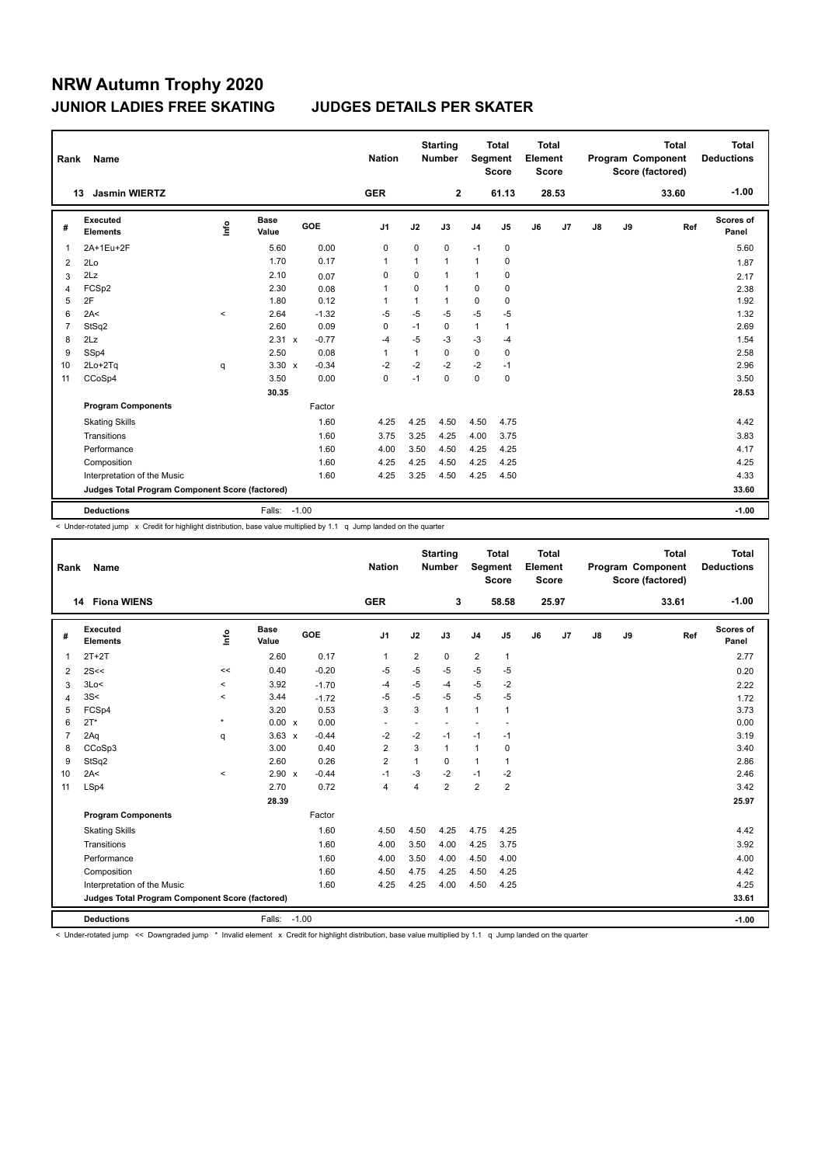| Rank           | Name                                            |         |                      |         | <b>Nation</b>  |             | <b>Starting</b><br><b>Number</b> | Segment        | <b>Total</b><br><b>Score</b> | <b>Total</b><br>Element<br>Score |       |    |    | <b>Total</b><br>Program Component<br>Score (factored) | Total<br><b>Deductions</b> |
|----------------|-------------------------------------------------|---------|----------------------|---------|----------------|-------------|----------------------------------|----------------|------------------------------|----------------------------------|-------|----|----|-------------------------------------------------------|----------------------------|
|                | <b>Jasmin WIERTZ</b><br>13                      |         |                      |         | <b>GER</b>     |             | $\mathbf{2}$                     |                | 61.13                        |                                  | 28.53 |    |    | 33.60                                                 | $-1.00$                    |
| #              | <b>Executed</b><br><b>Elements</b>              | ١nf٥    | <b>Base</b><br>Value | GOE     | J <sub>1</sub> | J2          | J3                               | J <sub>4</sub> | J5                           | J6                               | J7    | J8 | J9 | Ref                                                   | <b>Scores of</b><br>Panel  |
| 1              | 2A+1Eu+2F                                       |         | 5.60                 | 0.00    | 0              | 0           | 0                                | $-1$           | 0                            |                                  |       |    |    |                                                       | 5.60                       |
| 2              | 2Lo                                             |         | 1.70                 | 0.17    | $\overline{1}$ | 1           | $\mathbf{1}$                     | $\mathbf{1}$   | $\mathbf 0$                  |                                  |       |    |    |                                                       | 1.87                       |
| 3              | 2Lz                                             |         | 2.10                 | 0.07    | 0              | 0           | $\mathbf{1}$                     | 1              | 0                            |                                  |       |    |    |                                                       | 2.17                       |
| $\overline{4}$ | FCSp2                                           |         | 2.30                 | 0.08    | 1              | $\mathbf 0$ | $\mathbf{1}$                     | $\mathbf 0$    | $\mathbf 0$                  |                                  |       |    |    |                                                       | 2.38                       |
| 5              | 2F                                              |         | 1.80                 | 0.12    | 1              | 1           | 1                                | 0              | $\mathbf 0$                  |                                  |       |    |    |                                                       | 1.92                       |
| 6              | 2A<                                             | $\prec$ | 2.64                 | $-1.32$ | $-5$           | $-5$        | $-5$                             | $-5$           | -5                           |                                  |       |    |    |                                                       | 1.32                       |
| $\overline{7}$ | StSq2                                           |         | 2.60                 | 0.09    | 0              | $-1$        | $\mathbf 0$                      | $\mathbf{1}$   | $\mathbf{1}$                 |                                  |       |    |    |                                                       | 2.69                       |
| 8              | 2Lz                                             |         | 2.31 x               | $-0.77$ | $-4$           | $-5$        | $-3$                             | $-3$           | $-4$                         |                                  |       |    |    |                                                       | 1.54                       |
| 9              | SSp4                                            |         | 2.50                 | 0.08    | $\mathbf{1}$   | 1           | $\Omega$                         | $\mathbf 0$    | $\mathbf 0$                  |                                  |       |    |    |                                                       | 2.58                       |
| 10             | $2Lo+2Tq$                                       | q       | $3.30 \times$        | $-0.34$ | $-2$           | $-2$        | $-2$                             | $-2$           | $-1$                         |                                  |       |    |    |                                                       | 2.96                       |
| 11             | CCoSp4                                          |         | 3.50                 | 0.00    | $\mathbf 0$    | $-1$        | $\mathbf 0$                      | $\mathbf 0$    | $\mathbf 0$                  |                                  |       |    |    |                                                       | 3.50                       |
|                |                                                 |         | 30.35                |         |                |             |                                  |                |                              |                                  |       |    |    |                                                       | 28.53                      |
|                | <b>Program Components</b>                       |         |                      | Factor  |                |             |                                  |                |                              |                                  |       |    |    |                                                       |                            |
|                | <b>Skating Skills</b>                           |         |                      | 1.60    | 4.25           | 4.25        | 4.50                             | 4.50           | 4.75                         |                                  |       |    |    |                                                       | 4.42                       |
|                | Transitions                                     |         |                      | 1.60    | 3.75           | 3.25        | 4.25                             | 4.00           | 3.75                         |                                  |       |    |    |                                                       | 3.83                       |
|                | Performance                                     |         |                      | 1.60    | 4.00           | 3.50        | 4.50                             | 4.25           | 4.25                         |                                  |       |    |    |                                                       | 4.17                       |
|                | Composition                                     |         |                      | 1.60    | 4.25           | 4.25        | 4.50                             | 4.25           | 4.25                         |                                  |       |    |    |                                                       | 4.25                       |
|                | Interpretation of the Music                     |         |                      | 1.60    | 4.25           | 3.25        | 4.50                             | 4.25           | 4.50                         |                                  |       |    |    |                                                       | 4.33                       |
|                | Judges Total Program Component Score (factored) |         |                      |         |                |             |                                  |                |                              |                                  |       |    |    |                                                       | 33.60                      |
|                | <b>Deductions</b>                               |         | Falls: -1.00         |         |                |             |                                  |                |                              |                                  |       |    |    |                                                       | $-1.00$                    |

< Under-rotated jump x Credit for highlight distribution, base value multiplied by 1.1 q Jump landed on the quarter

| Rank                                            | Name                        |                                  |                      |            | <b>Nation</b>  |                | <b>Starting</b><br><b>Number</b> | Segment        | <b>Total</b><br><b>Score</b> | <b>Total</b><br>Element<br><b>Score</b> |                |       |    | <b>Total</b><br>Program Component<br>Score (factored) | <b>Total</b><br><b>Deductions</b> |
|-------------------------------------------------|-----------------------------|----------------------------------|----------------------|------------|----------------|----------------|----------------------------------|----------------|------------------------------|-----------------------------------------|----------------|-------|----|-------------------------------------------------------|-----------------------------------|
|                                                 | 14 Fiona WIENS              |                                  |                      |            | <b>GER</b>     |                | 3                                |                | 58.58                        |                                         | 25.97          |       |    | 33.61                                                 | $-1.00$                           |
| #                                               | Executed<br><b>Elements</b> | $\mathop{\mathsf{Irr}}\nolimits$ | <b>Base</b><br>Value | <b>GOE</b> | J1             | J2             | J3                               | J <sub>4</sub> | J5                           | J6                                      | J <sub>7</sub> | J8    | J9 | Ref                                                   | Scores of<br>Panel                |
| 1                                               | $2T+2T$                     |                                  | 2.60                 | 0.17       | $\mathbf{1}$   | $\overline{2}$ | 0                                | $\overline{2}$ | $\mathbf{1}$                 |                                         |                |       |    |                                                       | 2.77                              |
| 2                                               | 2S<<                        | <<                               | 0.40                 | $-0.20$    | -5             | $-5$           | $-5$                             | $-5$           | $-5$                         |                                         |                |       |    |                                                       | 0.20                              |
| 3                                               | 3Lo<                        | $\prec$                          | 3.92                 | $-1.70$    | $-4$           | $-5$           | $-4$                             | $-5$           | $-2$                         |                                         |                |       |    |                                                       | 2.22                              |
| 4                                               | 3S<                         | $\prec$                          | 3.44                 | $-1.72$    | $-5$           | $-5$           | $-5$                             | $-5$           | $-5$                         |                                         |                |       |    |                                                       | 1.72                              |
| 5                                               | FCSp4                       |                                  | 3.20                 | 0.53       | 3              | 3              | $\mathbf{1}$                     | $\mathbf{1}$   | $\mathbf{1}$                 |                                         |                |       |    |                                                       | 3.73                              |
| 6                                               | $2T^*$                      | $\pmb{\ast}$                     | 0.00 x               | 0.00       | $\blacksquare$ | $\blacksquare$ | $\overline{a}$                   | $\sim$         | $\overline{\phantom{a}}$     |                                         |                |       |    |                                                       | 0.00                              |
| $\overline{7}$                                  | 2Aq                         | q                                | $3.63 \times$        | $-0.44$    | $-2$           | $-2$           | $-1$                             | $-1$           | $-1$                         |                                         |                |       |    |                                                       | 3.19                              |
| 8                                               | CCoSp3                      |                                  | 3.00                 | 0.40       | $\overline{2}$ | 3              | $\mathbf{1}$                     | $\mathbf{1}$   | 0                            |                                         |                |       |    |                                                       | 3.40                              |
| 9                                               | StSq2                       |                                  | 2.60                 | 0.26       | $\overline{2}$ | 1              | $\Omega$                         | $\mathbf{1}$   | $\mathbf{1}$                 |                                         |                |       |    |                                                       | 2.86                              |
| 10                                              | 2A<                         | $\prec$                          | 2.90 x               | $-0.44$    | $-1$           | $-3$           | $-2$                             | $-1$           | $-2$                         |                                         |                |       |    |                                                       | 2.46                              |
| 11                                              | LSp4                        |                                  | 2.70                 | 0.72       | $\overline{4}$ | 4              | $\overline{2}$                   | $\overline{2}$ | $\overline{2}$               |                                         |                |       |    |                                                       | 3.42                              |
|                                                 |                             |                                  | 28.39                |            |                |                |                                  |                |                              |                                         |                |       |    |                                                       | 25.97                             |
|                                                 | <b>Program Components</b>   |                                  |                      | Factor     |                |                |                                  |                |                              |                                         |                |       |    |                                                       |                                   |
|                                                 | <b>Skating Skills</b>       |                                  |                      | 1.60       | 4.50           | 4.50           | 4.25                             | 4.75           | 4.25                         |                                         |                |       |    |                                                       | 4.42                              |
|                                                 | Transitions                 |                                  |                      | 1.60       | 4.00           | 3.50           | 4.00                             | 4.25           | 3.75                         |                                         |                |       |    |                                                       | 3.92                              |
|                                                 | Performance                 |                                  |                      | 1.60       | 4.00           | 3.50           | 4.00                             | 4.50           | 4.00                         |                                         |                |       |    |                                                       | 4.00                              |
|                                                 | Composition                 |                                  |                      | 1.60       | 4.50           | 4.75           | 4.25                             | 4.50           | 4.25                         |                                         |                |       |    |                                                       | 4.42                              |
|                                                 | Interpretation of the Music |                                  |                      | 1.60       | 4.25           | 4.25           | 4.00                             | 4.50           | 4.25                         |                                         |                |       |    |                                                       | 4.25                              |
| Judges Total Program Component Score (factored) |                             |                                  |                      |            |                |                |                                  |                |                              |                                         |                | 33.61 |    |                                                       |                                   |
|                                                 | <b>Deductions</b>           |                                  | Falls: -1.00         |            |                |                |                                  |                |                              |                                         |                |       |    |                                                       | $-1.00$                           |

< Under-rotated jump << Downgraded jump \* Invalid element x Credit for highlight distribution, base value multiplied by 1.1 q Jump landed on the quarter